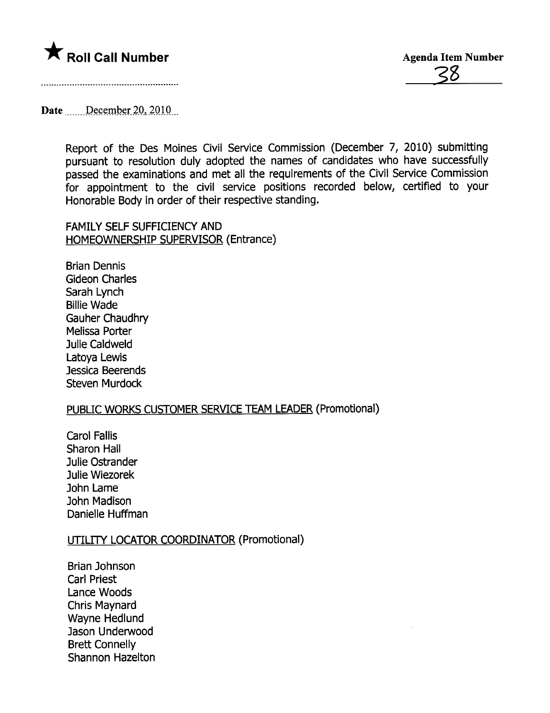



Date December 20, 2010.

Report of the Des Moines Civil Service Commission (December 7, 2010) submitting pursuant to resolution duly adopted the names of candidates who have successfully passed the examinations and met all the requirements of the Civil Service Commission for appointment to the civil service positions recorded below, certified to your Honorable Body in order of their respective standing.

FAMILY SELF SUFFICIENCY AND HOMEOWNERSHIP SUPERVISOR (Entrance)

Brian Dennis Gideon Charles Sarah Lynch Billie Wade Gauher Chaudhry Melissa Porter Julie Caldweld Latoya Lewis Jessica Beerends Steven Murdock

### PUBLIC WORKS CUSTOMER SERVICE TEAM LEADER (Promotional)

Carol Falls Sharon Hall Julie Ostrander Julie Wiezorek John Lame John Madison Danielle Huffman

## UTILITY LOCATOR COORDINATOR (Promotional)

Brian Johnson Carl Priest Lance Woods Chris Maynard Wayne Hedlund Jason Underwood Brett Connelly Shannon Hazelton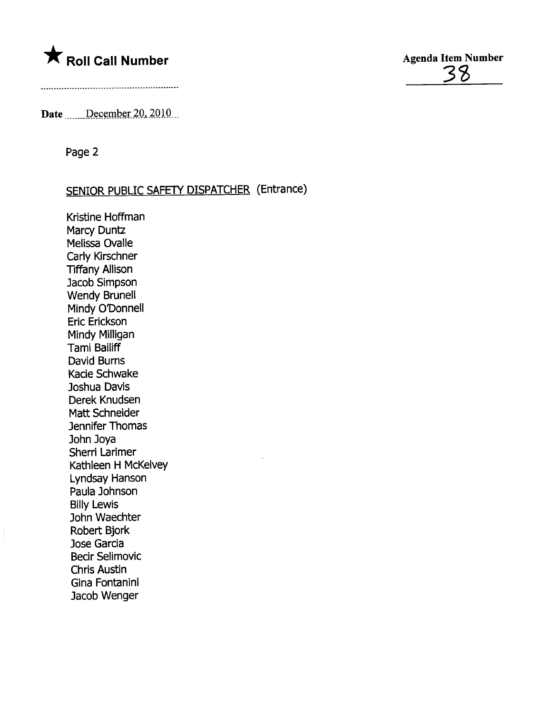# \* Roll Call Number Agenda Item Number 3i

Date  $December 20, 2010$ 

Page 2

### SENIOR PUBLIC SAFETY DISPATCHER (Entrance)

Kristine Hoffman Marcy Duntz Melissa Ovalle Carly Kirschner **Tiffany Allison** Jacob Simpson Wendy Brunell Mindy O'Donnell Eric Erickson Mindy Milligan Tami Bailff David Burns Kacie Schwake Joshua Davis Derek Knudsen Matt Schneider Jennifer Thomas John Joya Sherri Larimer Kathleen H McKelvey Lyndsay Hanson Paula Johnson Billy Lewis John Waechter Robert Bjork Jose Garcia Becir Selimovic Chris Austin Gina Fontanini Jacob Wenger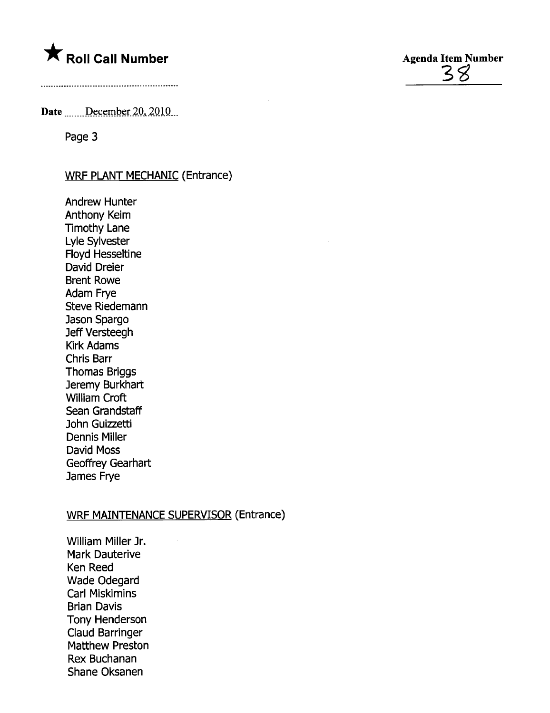# \* Roll Call Number Agenda Item Number

Date December 20, 2010

Page 3

### WRF PLANT MECHANIC (Entrance)

Andrew Hunter Anthony Keim Timothy Lane Lyle Sylvester Floyd Hesseltine David Dreier Brent Rowe Adam Frye Steve Riedemann Jason Spargo Jeff Versteegh Kirk Adams Chris Barr Thomas Briggs Jeremy Burkhart Willam Croft Sean Grandstaff John Guizzetti Dennis Miller David Moss Geoffrey Gearhart James Frye

### WRF MAINTENANCE SUPERVISOR (Entrance)

William Miller Jr. Mark Dauterive Ken Reed Wade Odegard Carl Miskimins Brian Davis Tony Henderson Claud Barringer Matthew Preston Rex Buchanan Shane Oksanen